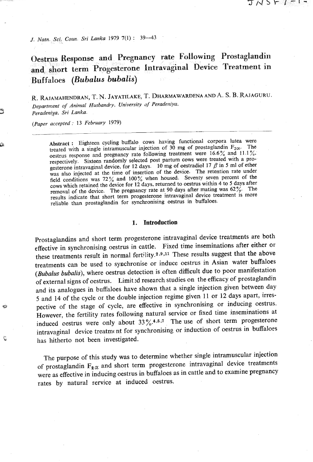コハコト(ーー

*J. Natn. Sci. Coun. Sri Lanka* 1979  $7(1)$ : 39-43

**&styus Response and Pregnancy rate Following Prostaglandin and short term Progesterone Intravagimal Device Treatment in Buffaloes (Bubalus bubalis)** 

R. RAJAMAHENDRAN, T. N. JAYATILAKE, T. DHARMAWARDENA AND A. S. B. RAJAGURU.<br>Department of Animal Husbandry, University of Peradeniya. *(Paper accepted* : *13 February* **1979)** 

**Abstract :** Eighteen cycling buffalo cows having functional corpora lutea were treated with a single intramuscular injection of 30 mg of prostaglandin  $F_{2\infty}$ . The oestrus response and pregnancy rate following treatment were 16.6% and *11.1* %, respectively. Sixteen randomly selected post partum cows were treated with a progesterone intravaginal device, for 12 days. 10 mg of oestradiol 17  $\beta$  in 5 ml of ether was also injected at the time of insertion of the device. The retention rate under field conditions was **72%** and 100% when housed. Seventy seven percent of the cows which retained the device for 12 days, returned to oestrus within 4 to 5 days after removal of the device. The pregnancy rate at **90** days after **mating** was 62%. The results indicate that short term progesterone intravaginal device treatment is more reliable than prostaglandin for synchronising oestrus in buffaloes.

# **1. Introduction**

Prostaglandins and short term progesterone intravaginal device treatments are both effective in synchronising oestrus in cattle. Fixed time inseminations after either or these treatments result in normal fertility.<sup>2,9,11</sup> These results suggest that the above treatments can be used to synchronise or induce oestrus in Asian water buffaloes (Bubalus **bubalis),** where oestrus detection is often difficult due to poor manifestation of external signs of oestrus. Limit :d research studies on the efficacy of prostaglandin and its analogues in buffaloes have shown that a single injection given between day 5 and 14 of the cycle or the double injection regime given **11** or 12 days apart, irrespective of the stage of cycle, are effective in synchronising or inducing oestrus. However, the fertility rates following natural service or fixed time inseminations at induced oestrus were only about  $33\frac{6}{10}$ .<sup>4,5,7</sup> The use of short term progesterone intravaginal device treatment for synchronising or induction of oestrus in buffaloes **5** has hitherto not been investigated.

The purpose of this study was to determine whether single intramuscular injection of prostaglandin  $F_{\mathbf{z}\alpha}$  and short term progesterone intravaginal device treatments were as effective in inducing oestrus in buffaloes as in cattle and to examine pregnancy rates by natural service at induced oestrus.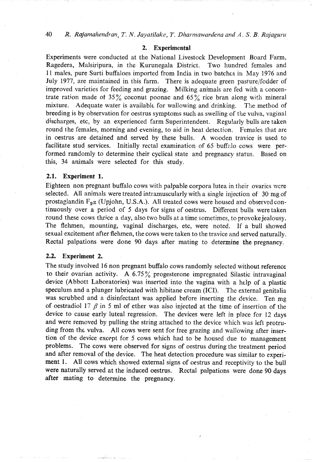**40** *R. Rajamahendran,* **T. N.** *Jayatilake, T. Dharmawardena and A. S. B. Rajaguru* 

#### 2. Experimental

Experiments were conducted at the National Livestock Development Board Farm, Ragedera, Malsiripura, in the Kurunegala District. Two hundred females and 11 males, pure Surti buffaloes imported from India in two batchcs in May 1976 and July 1977, are maintained in this farm. There is adequate green pasture/fodder of improved varieties for feeding and grazing. Milking animals are fed with a concentrate ration made of 35% coconut poonac and 65% rice bran along with mineral mixture. Adequate water is availablc for wallowing and drinking. The method of breeding is by observation for oestrus symptoms such as swelling of the vulva, vaginal discharges, etc, by an experienced farm Superintendent. Regularly bulls are taken round the females, morning and evening, to aid in heat detection. Females that are in oestrus are detained and served by these bulls. **A** wooden travice is used to facilitate stud services. Initially rectal examination of 65 buffalo cows were performed randomly to determine their cyclical state and pregpancy status. Based on this, **34** animals were selected for this study.

#### 2.1. Experiment 1.

Eighteen non pregnant buffalo cows with palpable corpora lutea in their ovaries were selected. All animals were treated intramuscularly with a single injection of **30** mg of prostaglandin  $F_{2\alpha}$  (Upjohn, U.S.A.). All treated cows were housed and observed continuously over a period of 5 days for signs of oestrus. Different bulls were taken round these cows thrice a day, also two bulls at a time sometimes, to provoke jealousy. The flehmen, mounting, vaginal discharges, etc, were noted. If a bull showed sexual excitement after flehmen, the cows were taken to the travice and served naturally. Rectal palpations were done 90 days after mating to determine **the** pregnancy.

### 2.2. Experiment 2.

The study involved 16 non pregnant buffalo cows randomly selected without reference to their ovarian activity. **A** 6.75 % progesterone impregnated Silastic intravaginal device (Abbott Laboratories) was inserted into the vagina with a help of a plastic speculum and a plunger lubricated with hibitane cream (ICI). The external genitalia was scrubbed and a disinfectant was applied before inserting the device. Ten mg of oestradiol 17  $\beta$  in 5 ml of ether was also injected at the time of insertion of the device to cause early luteal regression. The devices were left in place for 12 days and were removed by pulling the string attached to the device which was left protruding from the vulva. All cows were sent for free grazing and wallowing after insertion of the device except for 5 cows which had to be housed due to management problems. The cows were observed for signs of oestrus during the treatment period and after removal of the device. The heat detection procedure was similar to experiment 1. All cows which showed external signs of oestrus and receptivity to the bull were naturally served at the induced oestrus. Rectal palpations were done 90 days after mating to determine the pregnancy.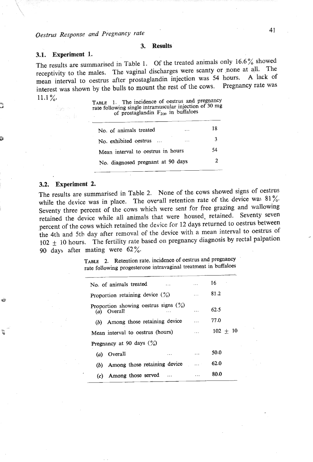#### **3. Results**  3.

# **3.1. Experiment 1.**

The results are summarised in Table 1. Of the treated animals only  $16.6\%$  showed receptivity to the males. The vaginal discharges were scanty or none at all. The mean interval to oestrus after prostaglandin injection was 54 hours. A lack of interest was shown by the bulls to mount the rest of the cows. Pregnancy rate was  $11.1\%$ 

TABLE 1. The incidence of oestrus and pregnancy rate following single intramuscular injection of 30 mg<br>the following single intramuscular injection of 30 mg<br>of prostaglandin F<sub>2</sub>o in buffaloes

| No. of animals treated            | 18 |
|-----------------------------------|----|
| No. exhibited oestrus             | 3  |
| Mean interval to oestrus in hours | 54 |
| No. diagnosed pregnant at 90 days | 2  |
|                                   |    |

### **3.2. Experiment 2.**

G

The results are summarised in Table **2.** None of the cows showed signs of oestrus while the device was in place. The overall retention rate of the device was  $81\%$ . Seventy three percent of the cows which were sent for free grazing and wallowing retained the device while all animals that were housed, retained. Seventy seven percent of the cows which retained the device for 12 days returned to oestrus between the 4th and 5th day after removal of the device with a mean interval to oestrus of 102 + 10 hours. The fertility rate based on pregnancy diagnosis by rectal palpation 90 day& after- mating were *62* %.

> **TABLE** 2. Retention rate, incidence of oestrus and pregnancy Rate 2. Recention rate, increased on the transmission of the method of the following progesterone intravaginal treatment in buffaloes

| No. of animals treated                                 | $\cdots$ | 16.        |
|--------------------------------------------------------|----------|------------|
| Proportion retaining device $(\%)$                     | $\cdots$ | 81.2       |
| Proportion showing oestrus signs $(\%)$<br>(a) Overall | .        | 62.5       |
| (b) Among those retaining device                       | $\cdots$ | 77.0       |
| Mean interval to oestrus (hours)                       | $\cdots$ | $102 + 10$ |
| Pregnancy at 90 days $(\%)$                            |          |            |
| (a) Overall<br>.                                       |          | 50.0       |
| Among those retaining device<br>(b)                    |          | 62.0       |
| Among those served<br>(c)                              |          | 80.0       |
|                                                        |          |            |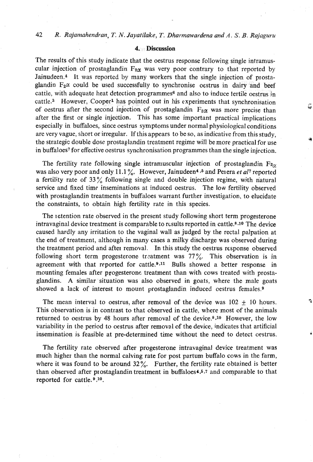# **4. Discussion**

The results of this study indicate that the oestrus response following single intramuscular injection of prostaglandin  $F_{2\alpha}$  was very poor contrary to that reported by Jainudeen.4 It was reported by many workers that the single injection of prostaglandin  $F_2\alpha$  could be used successfully to synchronise oestrus in dairy and beef cattle, with adequate heat detection programmes<sup>6</sup> and also to induce fertile oestrus in cattle.3 However, Cooper1 has pointed out in his experiments that synchronisation of oestrus after the second injection of prostaglandin  $F_{z\alpha}$  was more precise than after the first or single injection. This has some important practical implications especially in buffaloes, since oestrus symptoms under normal physiological conditions are very vague, short or irregular. If this appears to be so, as indicative from this study, the strategic double dose prostaglandin treatment regime will be more practical for use in buffaloes' for effective oestrus synchronisation programmes than the single injection.

The fertility rate following single intramuscular injection of prostaglandin  $F_{2\gamma}$ was also very poor and only 11.1%. However, Jainudeen<sup>4,5</sup> and Perera et al<sup>7</sup> reported a fertility rate of  $33\%$  following single and double injection regime, with natural service and fixed time inseminations at induced oestrus. The low fertility observed with prostaglandin treatments in buffaloes warrant further investigation, to elucidate the constraints, to obtain high fertility rate in this species.

The letention rate observed in the present study following short term progesterone intravaginal device treatment is comparable to rcsults reported in cattle. $8.10$  The device caused hardly any irritation to the vaginal wall as judged by the rectal palpation at the end of treatment, although in many cases a milky discharge was observed during the treatment period and after removal. In this study the oestrus response observed following short term progesterone treatment was  $77\%$ . This observation is in agreement with that reported for cattle. $9,11$  Bulls showed a better response in mounting females after progesterone treatment than with cows treated with prostaglandins. A similar situation was also observed in goats, where the male goats showed a lack of interest to mount prostaglandin induced oestrus females.9

The mean interval to oestrus, after removal of the device was  $102 \pm 10$  hours. This observation is in contrast to that observed in cattle, where most of the animals returned to oestrus by 48 hours after removal of the device.<sup>8,10</sup> However, the low variability in the period to oestrus after removal of the device, indicates that artificial insemination is feasible at predetermined time without the need to detect oestrus.  $\mathbf{r}_2$ 

The fertility rate observed after progesterone intravaginal device treatment was much higher than the normal calving rate for post partum buffalo cows in the farm, where it was found to be around **32%.** Further, the fertility rate obtained is better than observed after piostaglandin treatment in buffaloes4.6,7 and comparable to that reported for cattle.<sup>9</sup>,<sup>10</sup>.